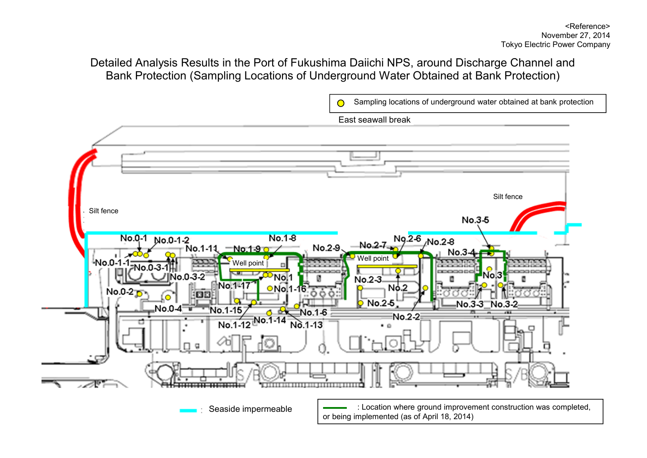# Detailed Analysis Results in the Port of Fukushima Daiichi NPS, around Discharge Channel and Bank Protection (Sampling Locations of Underground Water Obtained at Bank Protection)

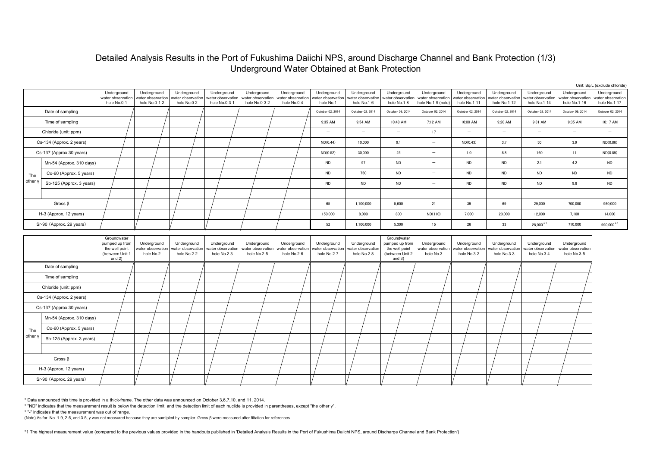## Detailed Analysis Results in the Port of Fukushima Daiichi NPS, around Discharge Channel and Bank Protection (1/3) Underground Water Obtained at Bank Protection

|                          |                          |                                                                                |                                                   |                                                 |                                                   |                                                   |                                                 |                                                 |                                                 |                                                                                |                                                        |                                                  |                                                  | Unit: Bq/L (exclude chloride                     |                                                  |                                                  |
|--------------------------|--------------------------|--------------------------------------------------------------------------------|---------------------------------------------------|-------------------------------------------------|---------------------------------------------------|---------------------------------------------------|-------------------------------------------------|-------------------------------------------------|-------------------------------------------------|--------------------------------------------------------------------------------|--------------------------------------------------------|--------------------------------------------------|--------------------------------------------------|--------------------------------------------------|--------------------------------------------------|--------------------------------------------------|
|                          |                          | Underground<br>water observation<br>hole No.0-1                                | Underground<br>water observation<br>hole No.0-1-2 | Underground<br>water observation<br>hole No.0-2 | Underground<br>water observation<br>hole No.0-3-1 | Underground<br>water observation<br>hole No.0-3-2 | Underground<br>water observation<br>hole No.0-4 | Underground<br>vater observation<br>hole No.1   | Underground<br>vater observation<br>hole No.1-6 | Underground<br>water observation<br>hole No.1-8                                | Underground<br>water observation<br>hole No.1-9 (note) | Underground<br>vater observation<br>hole No.1-11 | Underground<br>water observation<br>hole No.1-12 | Underground<br>water observation<br>hole No.1-14 | Underground<br>water observation<br>hole No.1-16 | Underground<br>vater observation<br>hole No.1-17 |
|                          | Date of sampling         |                                                                                |                                                   |                                                 |                                                   |                                                   |                                                 | October 02, 2014                                | October 02, 2014                                | October 09, 2014                                                               | October 02, 2014                                       | October 02, 2014                                 | October 02, 2014                                 | October 02, 2014                                 | October 09, 2014                                 | October 02, 2014                                 |
| Time of sampling         |                          |                                                                                |                                                   |                                                 |                                                   |                                                   |                                                 | 9:35 AM                                         | 9:54 AM                                         | 10:48 AM                                                                       | 7:12 AM                                                | 10:00 AM                                         | 9:20 AM                                          | 9:31 AM                                          | 9:35 AM                                          | 10:17 AM                                         |
|                          | Chloride (unit: ppm)     |                                                                                |                                                   |                                                 |                                                   |                                                   |                                                 | $\overline{\phantom{0}}$                        | $\overline{\phantom{0}}$                        | $\overline{\phantom{m}}$                                                       | 17                                                     | $\overline{\phantom{0}}$                         | $\overline{\phantom{0}}$                         | $\overline{\phantom{0}}$                         | $\overline{\phantom{m}}$                         | $\overline{\phantom{a}}$                         |
|                          | Cs-134 (Approx. 2 years) |                                                                                |                                                   |                                                 |                                                   |                                                   |                                                 | ND(0.44)                                        | 10,000                                          | 9.1                                                                            | $\overline{\phantom{0}}$                               | ND(0.43)                                         | 3.7                                              | 50                                               | 3.9                                              | ND(0.86)                                         |
|                          | Cs-137 (Approx.30 years) |                                                                                |                                                   |                                                 |                                                   |                                                   |                                                 | ND(0.52)                                        | 30,000                                          | 25                                                                             | $\overline{\phantom{m}}$                               | 1.0                                              | 8.8                                              | 160                                              | 11                                               | ND(0.89)                                         |
|                          | Mn-54 (Approx. 310 days) |                                                                                |                                                   |                                                 |                                                   |                                                   |                                                 | ND                                              | 97                                              | ${\sf ND}$                                                                     | $\overline{\phantom{0}}$                               | <b>ND</b>                                        | ND                                               | 2.1                                              | 4.2                                              | <b>ND</b>                                        |
| The                      | Co-60 (Approx. 5 years)  |                                                                                |                                                   |                                                 |                                                   |                                                   |                                                 | ND                                              | 750                                             | ${\sf ND}$                                                                     | $\overline{\phantom{a}}$                               | ND                                               | <b>ND</b>                                        | ND                                               | ${\sf ND}$                                       | <b>ND</b>                                        |
| other y                  | Sb-125 (Approx. 3 years) |                                                                                |                                                   |                                                 |                                                   |                                                   |                                                 | ND                                              | ND                                              | ${\sf ND}$                                                                     | $\overline{\phantom{0}}$                               | ND                                               | <b>ND</b>                                        | ND                                               | $9.8\,$                                          | <b>ND</b>                                        |
|                          |                          |                                                                                |                                                   |                                                 |                                                   |                                                   |                                                 |                                                 |                                                 |                                                                                |                                                        |                                                  |                                                  |                                                  |                                                  |                                                  |
| Gross $\beta$            |                          |                                                                                |                                                   |                                                 |                                                   |                                                   |                                                 | 65                                              | 1,100,000                                       | 5,600                                                                          | 21                                                     | 39                                               | 69                                               | 29,000                                           | 700,000                                          | 960,000                                          |
| H-3 (Approx. 12 years)   |                          |                                                                                |                                                   |                                                 |                                                   |                                                   |                                                 | 150,000                                         | 8,000                                           | 800                                                                            | ND(110)                                                |                                                  | 23,000<br>12,000                                 |                                                  | 7,100                                            | 14,000                                           |
| Sr-90 (Approx. 29 years) |                          |                                                                                |                                                   |                                                 |                                                   |                                                   |                                                 | 52                                              | 1,100,000                                       | 5,300                                                                          | 15<br>26                                               |                                                  | 33<br>28,000*1                                   |                                                  | 710,000                                          | 990,000*1                                        |
|                          |                          | Groundwater<br>pumped up from<br>the well point<br>(between Unit '<br>and $2)$ | Underground<br>vater observatior<br>hole No.2     | Underground<br>water observation<br>hole No.2-2 | Underground<br>vater observation<br>hole No.2-3   | Underground<br>vater observation<br>hole No.2-5   | Underground<br>water observation<br>hole No.2-6 | Underground<br>vater observation<br>hole No.2-7 | Underground<br>vater observation<br>hole No.2-8 | Groundwater<br>pumped up from<br>the well point<br>(between Unit 2<br>and $3)$ | Underground<br>ater observation<br>hole No.3           | Underground<br>ater observation<br>hole No.3-2   | Underground<br>vater observation<br>hole No.3-3  | Underground<br>vater observatio<br>hole No.3-4   | Underground<br>vater observation<br>hole No.3-5  |                                                  |
|                          | Date of sampling         |                                                                                |                                                   |                                                 |                                                   |                                                   |                                                 |                                                 |                                                 |                                                                                |                                                        |                                                  |                                                  |                                                  |                                                  |                                                  |
|                          | Time of sampling         |                                                                                |                                                   |                                                 |                                                   |                                                   |                                                 |                                                 |                                                 |                                                                                |                                                        |                                                  |                                                  |                                                  |                                                  |                                                  |
|                          | Chloride (unit: ppm)     |                                                                                |                                                   |                                                 |                                                   |                                                   |                                                 |                                                 |                                                 |                                                                                |                                                        |                                                  |                                                  |                                                  |                                                  |                                                  |
|                          | Cs-134 (Approx. 2 years) |                                                                                |                                                   |                                                 |                                                   |                                                   |                                                 |                                                 |                                                 |                                                                                |                                                        |                                                  |                                                  |                                                  |                                                  |                                                  |
|                          | Cs-137 (Approx.30 years) |                                                                                |                                                   |                                                 |                                                   |                                                   |                                                 |                                                 |                                                 |                                                                                |                                                        |                                                  |                                                  |                                                  |                                                  |                                                  |
|                          | Mn-54 (Approx. 310 days) |                                                                                |                                                   |                                                 |                                                   |                                                   |                                                 |                                                 |                                                 |                                                                                |                                                        |                                                  |                                                  |                                                  |                                                  |                                                  |
| The                      | Co-60 (Approx. 5 years)  |                                                                                |                                                   |                                                 |                                                   |                                                   |                                                 |                                                 |                                                 |                                                                                |                                                        |                                                  |                                                  |                                                  |                                                  |                                                  |
| other $\gamma$           | Sb-125 (Approx. 3 years) |                                                                                |                                                   |                                                 |                                                   |                                                   |                                                 |                                                 |                                                 |                                                                                |                                                        |                                                  |                                                  |                                                  |                                                  |                                                  |
|                          |                          |                                                                                |                                                   |                                                 |                                                   |                                                   |                                                 |                                                 |                                                 |                                                                                |                                                        |                                                  |                                                  |                                                  |                                                  |                                                  |
|                          | Gross $\beta$            |                                                                                |                                                   |                                                 |                                                   |                                                   |                                                 |                                                 |                                                 |                                                                                |                                                        |                                                  |                                                  |                                                  |                                                  |                                                  |
| H-3 (Approx. 12 years)   |                          |                                                                                |                                                   |                                                 |                                                   |                                                   |                                                 |                                                 |                                                 |                                                                                |                                                        |                                                  |                                                  |                                                  |                                                  |                                                  |
| Sr-90 (Approx. 29 years) |                          |                                                                                |                                                   |                                                 |                                                   |                                                   |                                                 |                                                 |                                                 |                                                                                |                                                        |                                                  |                                                  |                                                  |                                                  |                                                  |

 $*$  Data announced this time is provided in a thick-frame. The other data was announced on October 3,6,7,10, and 11, 2014.

\* "ND" indicates that the measurement result is below the detection limit, and the detection limit of each nuclide is provided in parentheses, except "the other γ".

\* "-" indicates that the measurement was out of range.

(Note) As for No. 1-9, 2-5, and 3-5, γ was not measured because they are samlpled by sampler. Gross β were measured after filtation for references.

\*1 The highest measurement value (compared to the previous values provided in the handouts published in 'Detailed Analysis Results in the Port of Fukushima Daiichi NPS, around Discharge Channel and Bank Protection')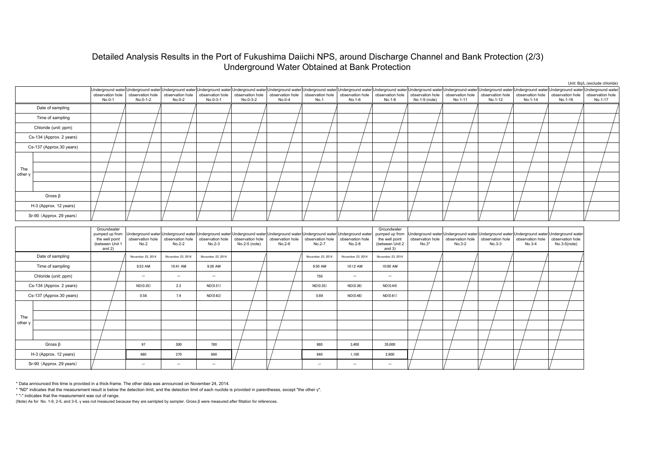### Detailed Analysis Results in the Port of Fukushima Daiichi NPS, around Discharge Channel and Bank Protection (2/3) Underground Water Obtained at Bank Protection

|                          |                          |                                                                                |                              |                              |                              |                                   |                                             |                            |                                                                                                                                                                                                                                                                                |                                                                                |                                   |                                                                                                         |                              |                              |                                                         | Unit: Bq/L (exclude chloride) |  |
|--------------------------|--------------------------|--------------------------------------------------------------------------------|------------------------------|------------------------------|------------------------------|-----------------------------------|---------------------------------------------|----------------------------|--------------------------------------------------------------------------------------------------------------------------------------------------------------------------------------------------------------------------------------------------------------------------------|--------------------------------------------------------------------------------|-----------------------------------|---------------------------------------------------------------------------------------------------------|------------------------------|------------------------------|---------------------------------------------------------|-------------------------------|--|
|                          |                          | observation hole<br>No.0-1                                                     | observation hole<br>No.0-1-2 | observation hole<br>No.0-2   | observation hole<br>No.0-3-1 | No.0-3-2                          | observation hole observation hole<br>No.0-4 | No.1                       | Underground water Underground water Underground water Underground water Underground water Underground water Underground water Underground water Underground water Underground water Underground water Underground water Underg<br>observation hole  observation hole<br>No.1-6 | observation hole<br>No.1-8                                                     | observation hole<br>No.1-9 (note) | observation hole<br>No.1-11                                                                             | observation hole<br>No.1-12  | observation hole<br>No.1-14  | observation hole<br>No.1-16                             | observation hole<br>No.1-17   |  |
| Date of sampling         |                          |                                                                                |                              |                              |                              |                                   |                                             |                            |                                                                                                                                                                                                                                                                                |                                                                                |                                   |                                                                                                         |                              |                              |                                                         |                               |  |
|                          | Time of sampling         |                                                                                |                              |                              |                              |                                   |                                             |                            |                                                                                                                                                                                                                                                                                |                                                                                |                                   |                                                                                                         |                              |                              |                                                         |                               |  |
|                          | Chloride (unit: ppm)     |                                                                                |                              |                              |                              |                                   |                                             |                            |                                                                                                                                                                                                                                                                                |                                                                                |                                   |                                                                                                         |                              |                              |                                                         |                               |  |
| Cs-134 (Approx. 2 years) |                          |                                                                                |                              |                              |                              |                                   |                                             |                            |                                                                                                                                                                                                                                                                                |                                                                                |                                   |                                                                                                         |                              |                              |                                                         |                               |  |
| Cs-137 (Approx.30 years) |                          |                                                                                |                              |                              |                              |                                   |                                             |                            |                                                                                                                                                                                                                                                                                |                                                                                |                                   |                                                                                                         |                              |                              |                                                         |                               |  |
|                          |                          |                                                                                |                              |                              |                              |                                   |                                             |                            |                                                                                                                                                                                                                                                                                |                                                                                |                                   |                                                                                                         |                              |                              |                                                         |                               |  |
| The                      |                          |                                                                                |                              |                              |                              |                                   |                                             |                            |                                                                                                                                                                                                                                                                                |                                                                                |                                   |                                                                                                         |                              |                              |                                                         |                               |  |
| other \                  |                          |                                                                                |                              |                              |                              |                                   |                                             |                            |                                                                                                                                                                                                                                                                                |                                                                                |                                   |                                                                                                         |                              |                              |                                                         |                               |  |
|                          |                          |                                                                                |                              |                              |                              |                                   |                                             |                            |                                                                                                                                                                                                                                                                                |                                                                                |                                   |                                                                                                         |                              |                              |                                                         |                               |  |
| Gross $\beta$            |                          |                                                                                |                              |                              |                              |                                   |                                             |                            |                                                                                                                                                                                                                                                                                |                                                                                |                                   |                                                                                                         |                              |                              |                                                         |                               |  |
| H-3 (Approx. 12 years)   |                          |                                                                                |                              |                              |                              |                                   |                                             |                            |                                                                                                                                                                                                                                                                                |                                                                                |                                   |                                                                                                         |                              |                              |                                                         |                               |  |
| Sr-90 (Approx. 29 years) |                          |                                                                                |                              |                              |                              |                                   |                                             |                            |                                                                                                                                                                                                                                                                                |                                                                                |                                   |                                                                                                         |                              |                              |                                                         |                               |  |
|                          |                          | Groundwater<br>pumped up from<br>the well point<br>(between Unit 1<br>and $2)$ | observation hole<br>No.2     | observation hole<br>$No.2-2$ | observation hole<br>$No.2-3$ | observation hole<br>No.2-5 (note) | observation hole<br>No.2-6                  | observation hole<br>No.2-7 | Underground water Underground water Underground water Underground water Underground water Underground water Underground water<br>observation hole<br>No.2-8                                                                                                                    | Groundwater<br>pumped up from<br>the well point<br>(between Unit 2<br>and $3)$ | observation hole<br>$No.3*$       | Underground water Underground water Underground water Underground water<br>observation hole<br>$No.3-2$ | observation hole<br>$No.3-3$ | observation hole<br>$No.3-4$ | Underground water<br>observation hole<br>$No.3-5(note)$ |                               |  |
|                          | Date of sampling         |                                                                                | November 23, 2014            | November 23, 2014            | November 23, 2014            |                                   |                                             | November 23, 2014          | November 23, 2014                                                                                                                                                                                                                                                              | November 23, 2014                                                              |                                   |                                                                                                         |                              |                              |                                                         |                               |  |
|                          | Time of sampling         |                                                                                | 8:53 AM                      | 10:41 AM                     | 9:26 AM                      |                                   |                                             | 9:50 AM                    | 10:12 AM                                                                                                                                                                                                                                                                       | 10:00 AM                                                                       |                                   |                                                                                                         |                              |                              |                                                         |                               |  |
|                          | Chloride (unit: ppm)     |                                                                                | $\qquad \qquad -$            | $\overline{\phantom{m}}$     | $\overline{\phantom{a}}$     |                                   |                                             | 750                        | $\overline{\phantom{m}}$                                                                                                                                                                                                                                                       | $\overline{\phantom{a}}$                                                       |                                   |                                                                                                         |                              |                              |                                                         |                               |  |
|                          | Cs-134 (Approx. 2 years) |                                                                                | ND(0.35)                     | 2.3                          | ND(0.51)                     |                                   |                                             | ND(0.35)                   | ND(0.36)                                                                                                                                                                                                                                                                       | ND(0.44)                                                                       |                                   |                                                                                                         |                              |                              |                                                         |                               |  |
|                          | Cs-137 (Approx.30 years) |                                                                                | 0.58                         | 7.4                          | ND(0.63)                     |                                   |                                             | 0.89                       | ND(0.48)                                                                                                                                                                                                                                                                       | ND(0.61)                                                                       |                                   |                                                                                                         |                              |                              |                                                         |                               |  |
|                          |                          |                                                                                |                              |                              |                              |                                   |                                             |                            |                                                                                                                                                                                                                                                                                |                                                                                |                                   |                                                                                                         |                              |                              |                                                         |                               |  |
| The                      |                          |                                                                                |                              |                              |                              |                                   |                                             |                            |                                                                                                                                                                                                                                                                                |                                                                                |                                   |                                                                                                         |                              |                              |                                                         |                               |  |
| other \                  |                          |                                                                                |                              |                              |                              |                                   |                                             |                            |                                                                                                                                                                                                                                                                                |                                                                                |                                   |                                                                                                         |                              |                              |                                                         |                               |  |
|                          |                          |                                                                                |                              |                              |                              |                                   |                                             |                            |                                                                                                                                                                                                                                                                                |                                                                                |                                   |                                                                                                         |                              |                              |                                                         |                               |  |
|                          | Gross $\beta$            |                                                                                | 97                           | 300                          | 780                          |                                   |                                             | 980                        | 3,400                                                                                                                                                                                                                                                                          | 35,000                                                                         |                                   |                                                                                                         |                              |                              |                                                         |                               |  |
|                          | H-3 (Approx. 12 years)   |                                                                                | 660                          | 370                          | 890                          |                                   |                                             | 840                        | 1,100                                                                                                                                                                                                                                                                          | 2,900                                                                          |                                   |                                                                                                         |                              |                              |                                                         |                               |  |
| Sr-90 (Approx. 29 years) |                          |                                                                                | Ξ                            | $\qquad \qquad -$            | $\overline{\phantom{0}}$     |                                   |                                             | $\overline{\phantom{0}}$   | $\overline{\phantom{a}}$                                                                                                                                                                                                                                                       | -                                                                              |                                   |                                                                                                         |                              |                              |                                                         |                               |  |
|                          |                          |                                                                                |                              |                              |                              |                                   |                                             |                            |                                                                                                                                                                                                                                                                                |                                                                                |                                   |                                                                                                         |                              |                              |                                                         |                               |  |

\* Data announced this time is provided in a thick-frame. The other data was announced on November 24, 2014.

\* "ND" indicates that the measurement result is below the detection limit, and the detection limit of each nuclide is provided in parentheses, except "the other γ".

\* "-" indicates that the measurement was out of range.

(Note) As for No. 1-9, 2-5, and 3-5, γ was not measured because they are samlpled by sampler. Gross β were measured after filtation for references.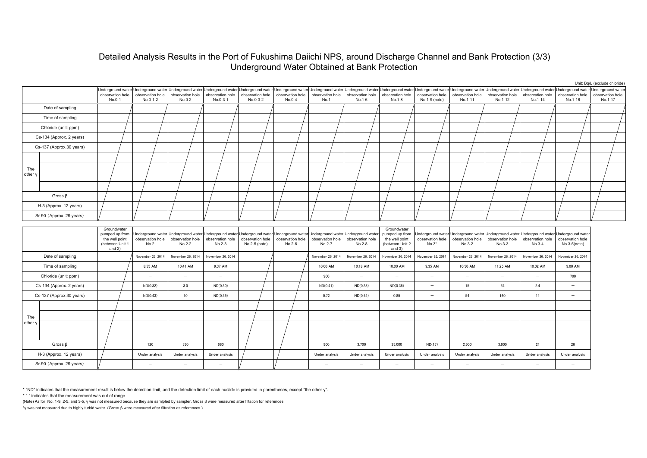### Detailed Analysis Results in the Port of Fukushima Daiichi NPS, around Discharge Channel and Bank Protection (3/3) Underground Water Obtained at Bank Protection

|                          |                          |                                                                                |                                                                                                                                                                                                                                                                |                            |                                                                                                                                                               |                                   |                            |                            |                            |                                                                                |                                                    |                              |                                                                                                                           |                             |                                    | Unit: Bq/L (exclude chloride) |
|--------------------------|--------------------------|--------------------------------------------------------------------------------|----------------------------------------------------------------------------------------------------------------------------------------------------------------------------------------------------------------------------------------------------------------|----------------------------|---------------------------------------------------------------------------------------------------------------------------------------------------------------|-----------------------------------|----------------------------|----------------------------|----------------------------|--------------------------------------------------------------------------------|----------------------------------------------------|------------------------------|---------------------------------------------------------------------------------------------------------------------------|-----------------------------|------------------------------------|-------------------------------|
|                          |                          | observation hole<br>No.0-1                                                     | Underground water Underground water Underground water Underground water Underground water Underground water Underground water Underground water Underground water Underground water Underground water Underground water Underg<br>observation hole<br>No.0-1-2 | observation hole<br>No.0-2 | observation hole<br>No.0-3-1                                                                                                                                  | observation hole<br>No.0-3-2      | observation hole<br>No.0-4 | observation hole<br>No.1   | observation hole<br>No.1-6 | No.1-8                                                                         | observation hole observation hole<br>No.1-9 (note) | observation hole<br>No.1-11  | observation hole<br>No.1-12                                                                                               | observation hole<br>No.1-14 | observation hole<br>No.1-16        | observation hole<br>No.1-17   |
|                          | Date of sampling         |                                                                                |                                                                                                                                                                                                                                                                |                            |                                                                                                                                                               |                                   |                            |                            |                            |                                                                                |                                                    |                              |                                                                                                                           |                             |                                    |                               |
| Time of sampling         |                          |                                                                                |                                                                                                                                                                                                                                                                |                            |                                                                                                                                                               |                                   |                            |                            |                            |                                                                                |                                                    |                              |                                                                                                                           |                             |                                    |                               |
| Chloride (unit: ppm)     |                          |                                                                                |                                                                                                                                                                                                                                                                |                            |                                                                                                                                                               |                                   |                            |                            |                            |                                                                                |                                                    |                              |                                                                                                                           |                             |                                    |                               |
| Cs-134 (Approx. 2 years) |                          |                                                                                |                                                                                                                                                                                                                                                                |                            |                                                                                                                                                               |                                   |                            |                            |                            |                                                                                |                                                    |                              |                                                                                                                           |                             |                                    |                               |
| Cs-137 (Approx.30 years) |                          |                                                                                |                                                                                                                                                                                                                                                                |                            |                                                                                                                                                               |                                   |                            |                            |                            |                                                                                |                                                    |                              |                                                                                                                           |                             |                                    |                               |
|                          |                          |                                                                                |                                                                                                                                                                                                                                                                |                            |                                                                                                                                                               |                                   |                            |                            |                            |                                                                                |                                                    |                              |                                                                                                                           |                             |                                    |                               |
| The                      |                          |                                                                                |                                                                                                                                                                                                                                                                |                            |                                                                                                                                                               |                                   |                            |                            |                            |                                                                                |                                                    |                              |                                                                                                                           |                             |                                    |                               |
| other                    |                          |                                                                                |                                                                                                                                                                                                                                                                |                            |                                                                                                                                                               |                                   |                            |                            |                            |                                                                                |                                                    |                              |                                                                                                                           |                             |                                    |                               |
|                          |                          |                                                                                |                                                                                                                                                                                                                                                                |                            |                                                                                                                                                               |                                   |                            |                            |                            |                                                                                |                                                    |                              |                                                                                                                           |                             |                                    |                               |
|                          | Gross $\beta$            |                                                                                |                                                                                                                                                                                                                                                                |                            |                                                                                                                                                               |                                   |                            |                            |                            |                                                                                |                                                    |                              |                                                                                                                           |                             |                                    |                               |
| H-3 (Approx. 12 years)   |                          |                                                                                |                                                                                                                                                                                                                                                                |                            |                                                                                                                                                               |                                   |                            |                            |                            |                                                                                |                                                    |                              |                                                                                                                           |                             |                                    |                               |
|                          | Sr-90 (Approx. 29 years) |                                                                                |                                                                                                                                                                                                                                                                |                            |                                                                                                                                                               |                                   |                            |                            |                            |                                                                                |                                                    |                              |                                                                                                                           |                             |                                    |                               |
|                          |                          | Groundwater<br>pumped up from<br>the well point<br>(between Unit 1<br>and $2)$ | observation hole<br>No.2                                                                                                                                                                                                                                       | observation hole<br>No.2-2 | Underground water Underground water Underground water Underground water Underground water Underground water Underground water<br>observation hole<br>$No.2-3$ | observation hole<br>No.2-5 (note) | observation hole<br>No.2-6 | observation hole<br>No.2-7 | observation hole<br>No.2-8 | Groundwater<br>pumped up from<br>the well point<br>(between Unit 2<br>and $3)$ | observation hole<br>$No.3*$                        | observation hole<br>$No.3-2$ | Underground water Underground water Underground water Underground water Underground water<br>observation hole<br>$No.3-3$ | observation hole<br>No.3-4  | observation hole<br>$No.3-5(note)$ |                               |
|                          | Date of sampling         |                                                                                | November 26, 2014                                                                                                                                                                                                                                              | November 26, 2014          | November 26, 2014                                                                                                                                             |                                   |                            | November 26, 2014          | November 26, 2014          | November 26, 2014                                                              | November 26, 2014                                  | November 26, 2014            | November 26, 2014                                                                                                         | November 26, 2014           | November 26, 2014                  |                               |
|                          | Time of sampling         |                                                                                | 8:55 AM                                                                                                                                                                                                                                                        | 10:41 AM                   | 9:37 AM                                                                                                                                                       |                                   |                            | 10:00 AM                   | 10:18 AM                   | 10:00 AM                                                                       | 9:35 AM                                            | 10:50 AM                     | 11:25 AM                                                                                                                  | 10:02 AM                    | 9:00 AM                            |                               |
|                          | Chloride (unit: ppm)     |                                                                                | $-$                                                                                                                                                                                                                                                            | $\qquad \qquad -$          | $\overline{\phantom{m}}$                                                                                                                                      |                                   |                            | 900                        | $\overline{\phantom{m}}$   | $\overline{\phantom{a}}$                                                       |                                                    | -                            | $\overline{\phantom{a}}$                                                                                                  | -                           | 700                                |                               |
|                          | Cs-134 (Approx. 2 years) |                                                                                | ND(0.32)                                                                                                                                                                                                                                                       | 3.0                        | ND(0.30)                                                                                                                                                      |                                   |                            | ND(0.41)                   | ND(0.38)                   | ND(0.36)                                                                       | $\overline{\phantom{0}}$                           | 15                           | 54                                                                                                                        | 2.4                         | $\overline{\phantom{a}}$           |                               |
|                          | Cs-137 (Approx.30 years) |                                                                                | ND(0.43)                                                                                                                                                                                                                                                       | 10                         | ND(0.45)                                                                                                                                                      |                                   |                            | 0.72                       | ND(0.42)                   | 0.85                                                                           | $\overline{\phantom{0}}$                           | 54                           | 160                                                                                                                       | 11                          | $\overline{\phantom{m}}$           |                               |
|                          |                          |                                                                                |                                                                                                                                                                                                                                                                |                            |                                                                                                                                                               |                                   |                            |                            |                            |                                                                                |                                                    |                              |                                                                                                                           |                             |                                    |                               |
| The                      |                          |                                                                                |                                                                                                                                                                                                                                                                |                            |                                                                                                                                                               |                                   |                            |                            |                            |                                                                                |                                                    |                              |                                                                                                                           |                             |                                    |                               |
| other y                  |                          |                                                                                |                                                                                                                                                                                                                                                                |                            |                                                                                                                                                               |                                   |                            |                            |                            |                                                                                |                                                    |                              |                                                                                                                           |                             |                                    |                               |
|                          |                          |                                                                                |                                                                                                                                                                                                                                                                |                            |                                                                                                                                                               |                                   |                            |                            |                            |                                                                                |                                                    |                              |                                                                                                                           |                             |                                    |                               |
|                          | Gross $\beta$            |                                                                                | 120                                                                                                                                                                                                                                                            | 330                        | 660                                                                                                                                                           |                                   |                            | 900                        | 3,700                      | 35,000                                                                         | ND(17)                                             | 2,500                        | 3,900                                                                                                                     | 21                          | 26                                 |                               |
|                          | H-3 (Approx. 12 years)   |                                                                                | Under analysis                                                                                                                                                                                                                                                 | Under analysis             | Under analysis                                                                                                                                                |                                   |                            | Under analysis             | Under analysis             | Under analysis                                                                 | Under analysis                                     | Under analysis               | Under analysis                                                                                                            | Under analysis              | Under analysis                     |                               |
| Sr-90 (Approx. 29 years) |                          |                                                                                | $\qquad \qquad -$                                                                                                                                                                                                                                              | $\overline{\phantom{a}}$   | $\overline{\phantom{0}}$                                                                                                                                      |                                   |                            | $\qquad \qquad -$          | $\overline{\phantom{0}}$   | $\overline{\phantom{0}}$                                                       |                                                    | $\overline{\phantom{0}}$     | $\overline{\phantom{a}}$                                                                                                  | -                           | $\overline{\phantom{m}}$           |                               |

\* "ND" indicates that the measurement result is below the detection limit, and the detection limit of each nuclide is provided in parentheses, except "the other γ".

\* "-" indicates that the measurement was out of range.

(Note) As for No. 1-9, 2-5, and 3-5, γ was not measured because they are samlpled by sampler. Gross β were measured after filtation for references.

\*γ was not measured due to highly turbid water. (Gross β were measured after filtration as references.)